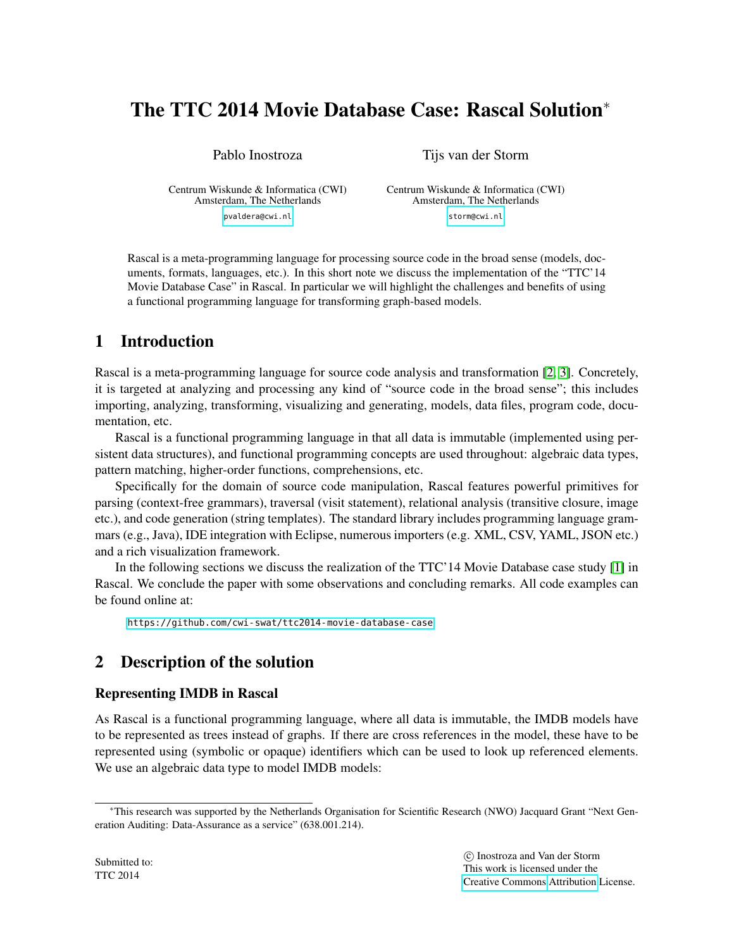# The TTC 2014 Movie Database Case: Rascal Solution<sup>∗</sup>

Pablo Inostroza

Tijs van der Storm

Centrum Wiskunde & Informatica (CWI) Amsterdam, The Netherlands [pvaldera@cwi.nl](mailto:pvaldera@cwi.nl)

Centrum Wiskunde & Informatica (CWI) Amsterdam, The Netherlands [storm@cwi.nl](mailto:storm@cwi.nl)

Rascal is a meta-programming language for processing source code in the broad sense (models, documents, formats, languages, etc.). In this short note we discuss the implementation of the "TTC'14 Movie Database Case" in Rascal. In particular we will highlight the challenges and benefits of using a functional programming language for transforming graph-based models.

## 1 Introduction

Rascal is a meta-programming language for source code analysis and transformation [\[2,](#page-4-0) [3\]](#page-4-1). Concretely, it is targeted at analyzing and processing any kind of "source code in the broad sense"; this includes importing, analyzing, transforming, visualizing and generating, models, data files, program code, documentation, etc.

Rascal is a functional programming language in that all data is immutable (implemented using persistent data structures), and functional programming concepts are used throughout: algebraic data types, pattern matching, higher-order functions, comprehensions, etc.

Specifically for the domain of source code manipulation, Rascal features powerful primitives for parsing (context-free grammars), traversal (visit statement), relational analysis (transitive closure, image etc.), and code generation (string templates). The standard library includes programming language grammars (e.g., Java), IDE integration with Eclipse, numerous importers (e.g. XML, CSV, YAML, JSON etc.) and a rich visualization framework.

In the following sections we discuss the realization of the TTC'14 Movie Database case study [\[1\]](#page-4-2) in Rascal. We conclude the paper with some observations and concluding remarks. All code examples can be found online at:

<https://github.com/cwi-swat/ttc2014-movie-database-case>

## 2 Description of the solution

### Representing IMDB in Rascal

As Rascal is a functional programming language, where all data is immutable, the IMDB models have to be represented as trees instead of graphs. If there are cross references in the model, these have to be represented using (symbolic or opaque) identifiers which can be used to look up referenced elements. We use an algebraic data type to model IMDB models:

<sup>∗</sup>This research was supported by the Netherlands Organisation for Scientific Research (NWO) Jacquard Grant "Next Generation Auditing: Data-Assurance as a service" (638.001.214).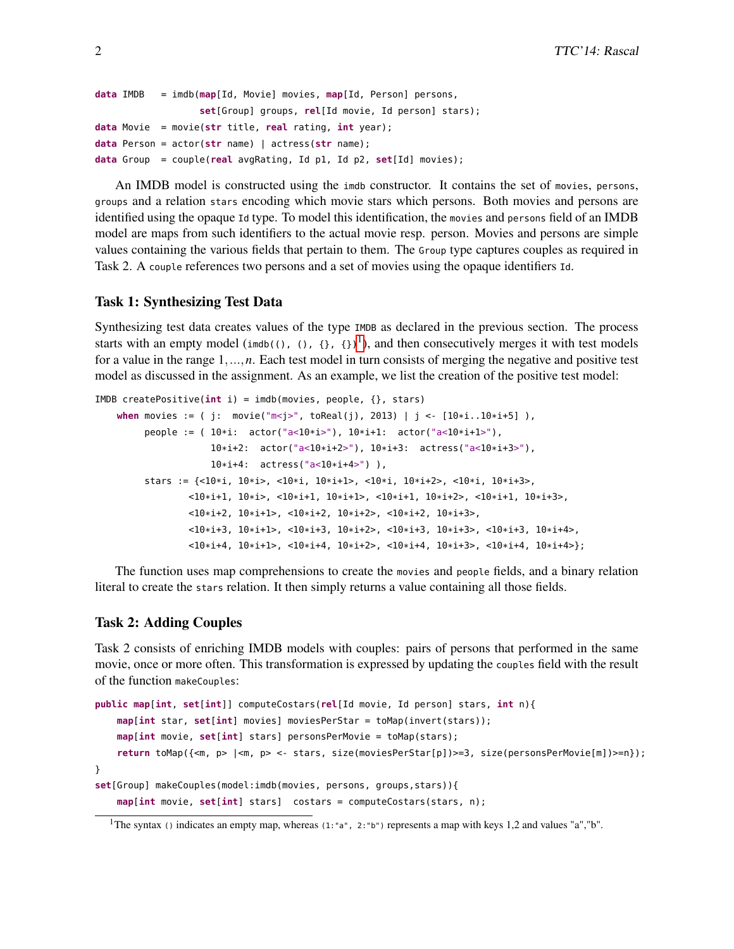```
data IMDB = imdb(map[Id, Movie] movies, map[Id, Person] persons,
                  set[Group] groups, rel[Id movie, Id person] stars);
data Movie = movie(str title, real rating, int year);
data Person = actor(str name) | actress(str name);
data Group = couple(real avgRating, Id p1, Id p2, set[Id] movies);
```
An IMDB model is constructed using the imdb constructor. It contains the set of movies, persons, groups and a relation stars encoding which movie stars which persons. Both movies and persons are identified using the opaque Id type. To model this identification, the movies and persons field of an IMDB model are maps from such identifiers to the actual movie resp. person. Movies and persons are simple values containing the various fields that pertain to them. The Group type captures couples as required in Task 2. A couple references two persons and a set of movies using the opaque identifiers Id.

#### Task 1: Synthesizing Test Data

Synthesizing test data creates values of the type IMDB as declared in the previous section. The process starts with an empty model (imdb((), (),  $\{\}$ ,  $\{\}$ ), and then consecutively merges it with test models for a value in the range 1,...,*n*. Each test model in turn consists of merging the negative and positive test model as discussed in the assignment. As an example, we list the creation of the positive test model:

```
IMDB createPositive(int i) = imdb(movies, people, {}, stars)
   when movies := ( j: movie("m<j>", toReal(j), 2013) | j <- [10*i..10*i+5] ),
         people := ( 10*i: actor("a<10*i>"), 10*i+1: actor("a<10*i+1>"),
                     10*i+2: actor("a<10*i+2>"), 10*i+3: actress("a<10*i+3>"),
                     10*i+4: actress("a<10*i+4>") ),
         stars := \{-10*i, 10*i>, -10*i, 10*it+1>, -10*it, 10*it+2>, -10*i, 10*it+3>,<10*i+1, 10*i>, <10*i+1, 10*i+1>, <10*i+1, 10*i+2>, <10*i+1, 10*i+3>,
                 <10*i+2, 10*i+1>, <10*i+2, 10*i+2>, <10*i+2, 10*i+3>,
                 <10*i+3, 10*i+1>, <10*i+3, 10*i+2>, <10*i+3, 10*i+3>, <10*i+3, 10*i+4>,
                 <10*i+4, 10*i+1>, <10*i+4, 10*i+2>, <10*i+4, 10*i+3>, <10*i+4, 10*i+4>};
```
The function uses map comprehensions to create the movies and people fields, and a binary relation literal to create the stars relation. It then simply returns a value containing all those fields.

#### Task 2: Adding Couples

Task 2 consists of enriching IMDB models with couples: pairs of persons that performed in the same movie, once or more often. This transformation is expressed by updating the couples field with the result of the function makeCouples:

```
public map[int, set[int]] computeCostars(rel[Id movie, Id person] stars, int n){
   map[int star, set[int] movies] moviesPerStar = toMap(invert(stars));
    map[int movie, set[int] stars] personsPerMovie = toMap(stars);
    return toMap({<m, p> |<m, p> <- stars, size(moviesPerStar[p])>=3, size(personsPerMovie[m])>=n});
}
set[Group] makeCouples(model:imdb(movies, persons, groups,stars)){
   map[int movie, set[int] stars] costars = computeCostars(stars, n);
```

```
<sup>1</sup>The syntax () indicates an empty map, whereas (1: "a", 2: "b") represents a map with keys 1,2 and values "a", "b".
```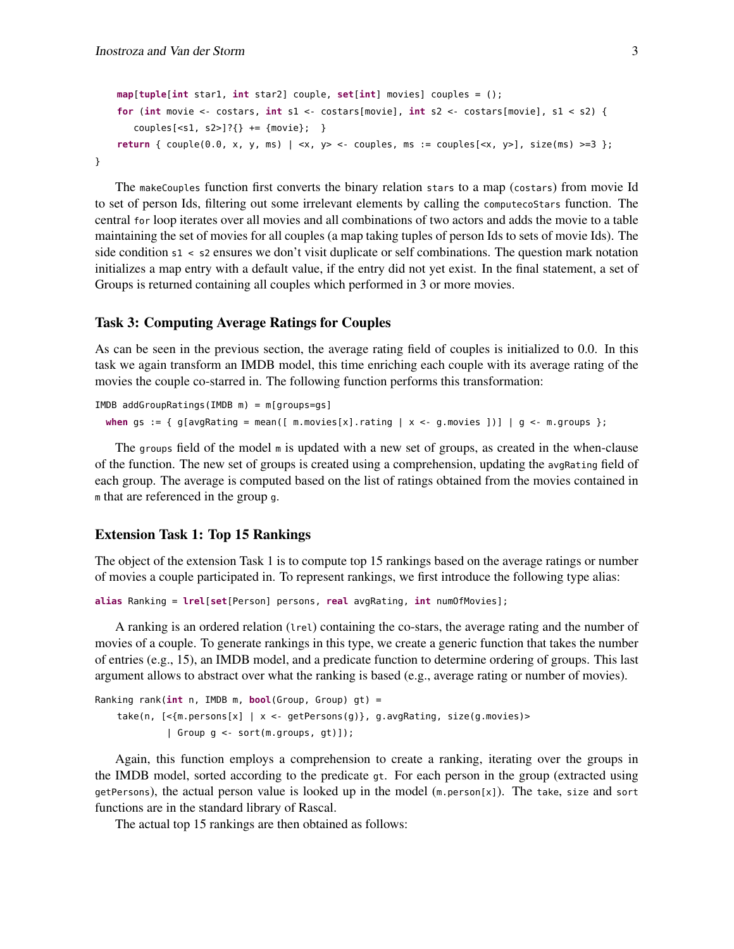```
map[tuple[int star1, int star2] couple, set[int] movies] couples = ();
    for (int movie <- costars, int s1 <- costars[movie], int s2 <- costars[movie], s1 < s2) {
       couples[<s1, s2>]?{} += {most}}
    return { couple(0.0, x, y, ms) | <x, y> <- couples, ms := couples[<x, y>], size(ms) >=3 };
}
```
The makeCouples function first converts the binary relation stars to a map (costars) from movie Id to set of person Ids, filtering out some irrelevant elements by calling the computecoStars function. The central for loop iterates over all movies and all combinations of two actors and adds the movie to a table maintaining the set of movies for all couples (a map taking tuples of person Ids to sets of movie Ids). The side condition s1 < s2 ensures we don't visit duplicate or self combinations. The question mark notation initializes a map entry with a default value, if the entry did not yet exist. In the final statement, a set of Groups is returned containing all couples which performed in 3 or more movies.

#### Task 3: Computing Average Ratings for Couples

As can be seen in the previous section, the average rating field of couples is initialized to 0.0. In this task we again transform an IMDB model, this time enriching each couple with its average rating of the movies the couple co-starred in. The following function performs this transformation:

```
IMDB addGroupRatings(IMDB m) = m[groups=gs]
  when gs := \{ g[avgRating = mean([ m.movies[x].rating ] x < - g.movies ] ) ] | g < - m.groups \};
```
The groups field of the model <sup>m</sup> is updated with a new set of groups, as created in the when-clause of the function. The new set of groups is created using a comprehension, updating the avgRating field of each group. The average is computed based on the list of ratings obtained from the movies contained in <sup>m</sup> that are referenced in the group <sup>g</sup>.

#### Extension Task 1: Top 15 Rankings

The object of the extension Task 1 is to compute top 15 rankings based on the average ratings or number of movies a couple participated in. To represent rankings, we first introduce the following type alias:

**alias** Ranking = **lrel**[**set**[Person] persons, **real** avgRating, **int** numOfMovies];

A ranking is an ordered relation (lrel) containing the co-stars, the average rating and the number of movies of a couple. To generate rankings in this type, we create a generic function that takes the number of entries (e.g., 15), an IMDB model, and a predicate function to determine ordering of groups. This last argument allows to abstract over what the ranking is based (e.g., average rating or number of movies).

```
Ranking rank(int n, IMDB m, bool(Group, Group) gt) =
    take(n, [<{m.persons[x] | x <- getPersons(g)}, g.avgRating, size(g.movies)>
             | Group g <- sort(m.groups, gt)]);
```
Again, this function employs a comprehension to create a ranking, iterating over the groups in the IMDB model, sorted according to the predicate gt. For each person in the group (extracted using getPersons), the actual person value is looked up in the model  $(m.person[x])$ . The take, size and sort functions are in the standard library of Rascal.

The actual top 15 rankings are then obtained as follows: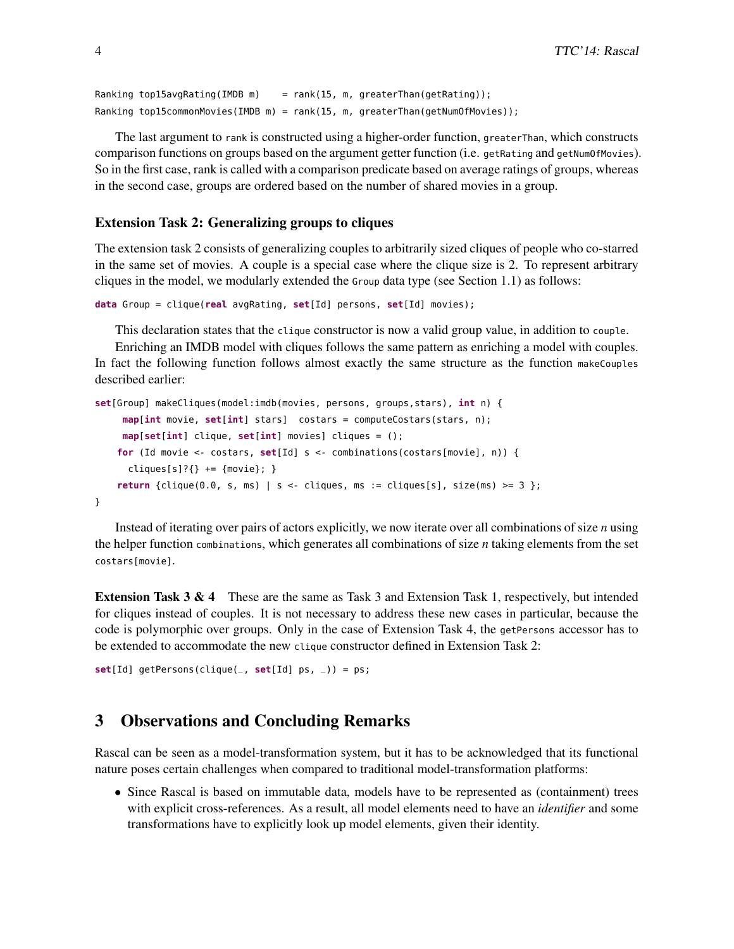```
Ranking top15avgRating(IMDB m) = rank(15, m, greaterThan(getRating));
Ranking top15commonMovies(IMDB m) = rank(15, m, greaterThan(getNumOfMovies));
```
The last argument to rank is constructed using a higher-order function, greaterThan, which constructs comparison functions on groups based on the argument getter function (i.e. getRating and getNumOfMovies). So in the first case, rank is called with a comparison predicate based on average ratings of groups, whereas in the second case, groups are ordered based on the number of shared movies in a group.

#### Extension Task 2: Generalizing groups to cliques

The extension task 2 consists of generalizing couples to arbitrarily sized cliques of people who co-starred in the same set of movies. A couple is a special case where the clique size is 2. To represent arbitrary cliques in the model, we modularly extended the Group data type (see Section 1.1) as follows:

```
data Group = clique(real avgRating, set[Id] persons, set[Id] movies);
```
This declaration states that the clique constructor is now a valid group value, in addition to couple.

Enriching an IMDB model with cliques follows the same pattern as enriching a model with couples. In fact the following function follows almost exactly the same structure as the function makeCouples described earlier:

```
set[Group] makeCliques(model:imdb(movies, persons, groups,stars), int n) {
     map[int movie, set[int] stars] costars = computeCostars(stars, n);
     map[set[int] clique, set[int] movies] cliques = ();
    for (Id movie <- costars, set[Id] s <- combinations(costars[movie], n)) {
      cliques[s]?\} += {most}return {clique(0.0, s, ms) | s \leftarrow cliques, ms := cliques[s], size(ms) \geq 3 };}
```
Instead of iterating over pairs of actors explicitly, we now iterate over all combinations of size *n* using the helper function combinations, which generates all combinations of size *n* taking elements from the set costars[movie].

**Extension Task 3 & 4** These are the same as Task 3 and Extension Task 1, respectively, but intended for cliques instead of couples. It is not necessary to address these new cases in particular, because the code is polymorphic over groups. Only in the case of Extension Task 4, the getPersons accessor has to be extended to accommodate the new clique constructor defined in Extension Task 2:

```
set[Id] getPersons(clique(_, set[Id] ps, _)) = ps;
```
## 3 Observations and Concluding Remarks

Rascal can be seen as a model-transformation system, but it has to be acknowledged that its functional nature poses certain challenges when compared to traditional model-transformation platforms:

• Since Rascal is based on immutable data, models have to be represented as (containment) trees with explicit cross-references. As a result, all model elements need to have an *identifier* and some transformations have to explicitly look up model elements, given their identity.